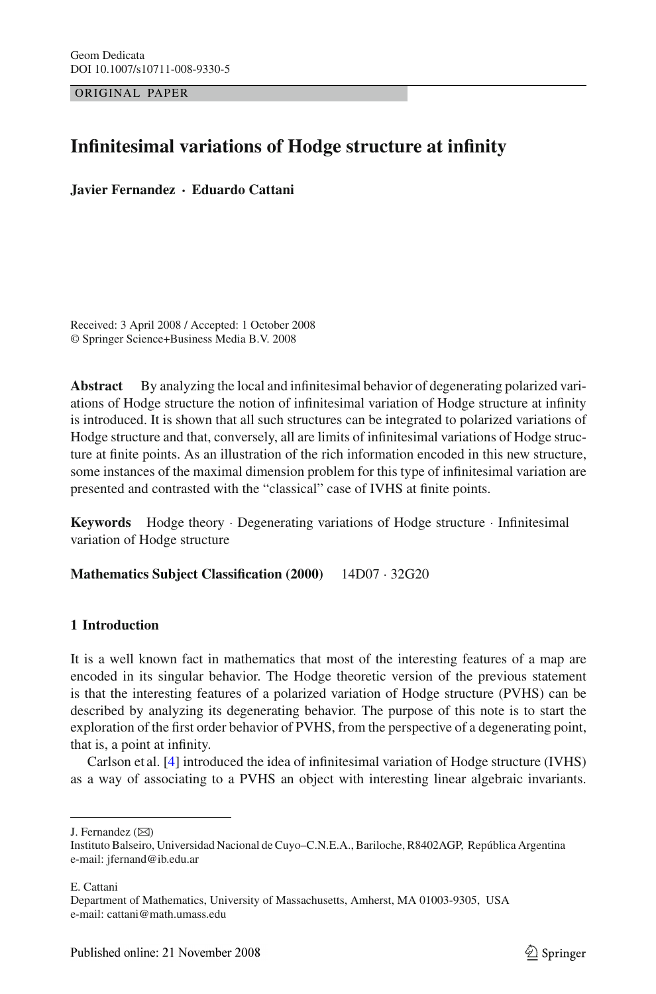ORIGINAL PAPER

# **Infinitesimal variations of Hodge structure at infinity**

**Javier Fernandez** · **Eduardo Cattani**

Received: 3 April 2008 / Accepted: 1 October 2008 © Springer Science+Business Media B.V. 2008

**Abstract** By analyzing the local and infinitesimal behavior of degenerating polarized variations of Hodge structure the notion of infinitesimal variation of Hodge structure at infinity is introduced. It is shown that all such structures can be integrated to polarized variations of Hodge structure and that, conversely, all are limits of infinitesimal variations of Hodge structure at finite points. As an illustration of the rich information encoded in this new structure, some instances of the maximal dimension problem for this type of infinitesimal variation are presented and contrasted with the "classical" case of IVHS at finite points.

**Keywords** Hodge theory · Degenerating variations of Hodge structure · Infinitesimal variation of Hodge structure

**Mathematics Subject Classification (2000)** 14D07 · 32G20

# **1 Introduction**

It is a well known fact in mathematics that most of the interesting features of a map are encoded in its singular behavior. The Hodge theoretic version of the previous statement is that the interesting features of a polarized variation of Hodge structure (PVHS) can be described by analyzing its degenerating behavior. The purpose of this note is to start the exploration of the first order behavior of PVHS, from the perspective of a degenerating point, that is, a point at infinity.

Carlson et al. [\[4](#page-12-0)] introduced the idea of infinitesimal variation of Hodge structure (IVHS) as a way of associating to a PVHS an object with interesting linear algebraic invariants.

E. Cattani

J. Fernandez  $(\boxtimes)$ 

Instituto Balseiro, Universidad Nacional de Cuyo–C.N.E.A., Bariloche, R8402AGP, República Argentina e-mail: jfernand@ib.edu.ar

Department of Mathematics, University of Massachusetts, Amherst, MA 01003-9305, USA e-mail: cattani@math.umass.edu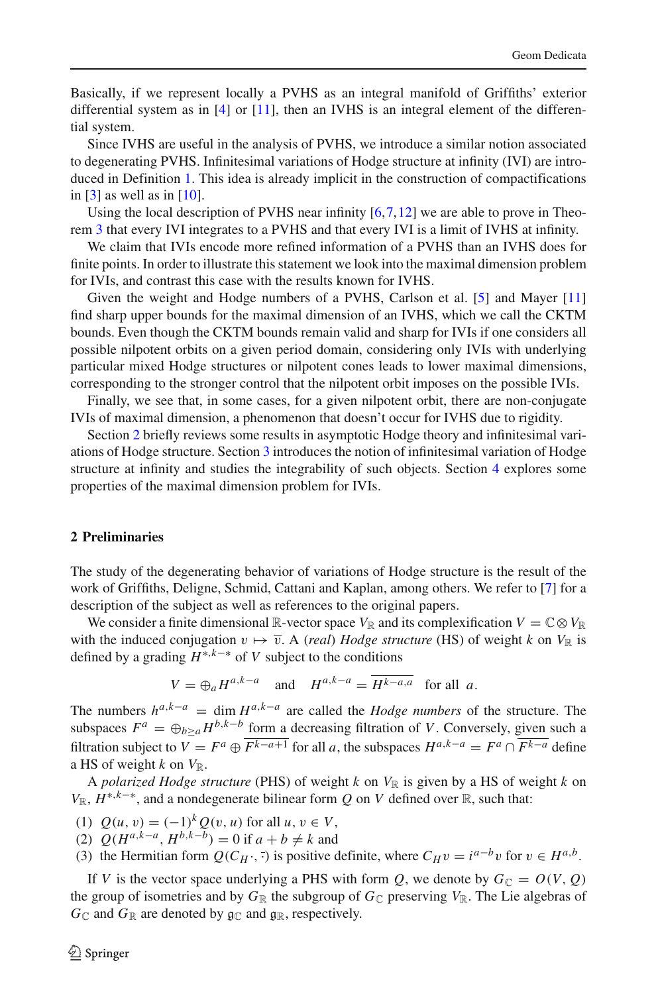Basically, if we represent locally a PVHS as an integral manifold of Griffiths' exterior differential system as in  $[4]$  $[4]$  or  $[11]$ , then an IVHS is an integral element of the differential system.

Since IVHS are useful in the analysis of PVHS, we introduce a similar notion associated to degenerating PVHS. Infinitesimal variations of Hodge structure at infinity (IVI) are introduced in Definition [1.](#page-5-0) This idea is already implicit in the construction of compactifications in  $[3]$  as well as in  $[10]$ .

Using the local description of PVHS near infinity  $[6,7,12]$  $[6,7,12]$  $[6,7,12]$  $[6,7,12]$  we are able to prove in Theorem [3](#page-6-0) that every IVI integrates to a PVHS and that every IVI is a limit of IVHS at infinity.

We claim that IVIs encode more refined information of a PVHS than an IVHS does for finite points. In order to illustrate this statement we look into the maximal dimension problem for IVIs, and contrast this case with the results known for IVHS.

Given the weight and Hodge numbers of a PVHS, Carlson et al. [\[5](#page-12-5)] and Mayer [\[11\]](#page-13-0) find sharp upper bounds for the maximal dimension of an IVHS, which we call the CKTM bounds. Even though the CKTM bounds remain valid and sharp for IVIs if one considers all possible nilpotent orbits on a given period domain, considering only IVIs with underlying particular mixed Hodge structures or nilpotent cones leads to lower maximal dimensions, corresponding to the stronger control that the nilpotent orbit imposes on the possible IVIs.

Finally, we see that, in some cases, for a given nilpotent orbit, there are non-conjugate IVIs of maximal dimension, a phenomenon that doesn't occur for IVHS due to rigidity.

Section [2](#page-1-0) briefly reviews some results in asymptotic Hodge theory and infinitesimal variations of Hodge structure. Section [3](#page-4-0) introduces the notion of infinitesimal variation of Hodge structure at infinity and studies the integrability of such objects. Section [4](#page-6-1) explores some properties of the maximal dimension problem for IVIs.

## <span id="page-1-0"></span>**2 Preliminaries**

The study of the degenerating behavior of variations of Hodge structure is the result of the work of Griffiths, Deligne, Schmid, Cattani and Kaplan, among others. We refer to [\[7](#page-12-1)] for a description of the subject as well as references to the original papers.

We consider a finite dimensional R-vector space  $V_{\mathbb{R}}$  and its complexification  $V = \mathbb{C} \otimes V_{\mathbb{R}}$ with the induced conjugation  $v \mapsto \overline{v}$ . A *(real) Hodge structure* (HS) of weight *k* on  $V_{\mathbb{R}}$  is defined by a grading *H*∗,*k*−∗ of *V* subject to the conditions

$$
V = \bigoplus_{a} H^{a,k-a} \quad \text{and} \quad H^{a,k-a} = \overline{H^{k-a,a}} \quad \text{for all } a.
$$

The numbers  $h^{a,k-a}$  = dim  $H^{a,k-a}$  are called the *Hodge numbers* of the structure. The subspaces  $F^a = \bigoplus_{b \geq a} H^{b,k-b}$  form a decreasing filtration of *V*. Conversely, given such a filtration subject to  $\overline{V} = F^a \oplus \overline{F^{k-a+1}}$  for all *a*, the subspaces  $H^{a,k-a} = F^a \cap \overline{F^{k-a}}$  define a HS of weight  $k$  on  $V_{\mathbb{R}}$ .

A *polarized Hodge structure* (PHS) of weight  $k$  on  $V_{\mathbb{R}}$  is given by a HS of weight  $k$  on  $V_{\mathbb{R}}$ ,  $H^{*,k-*}$ , and a nondegenerate bilinear form *Q* on *V* defined over  $\mathbb{R}$ , such that:

- <span id="page-1-1"></span>(1)  $Q(u, v) = (-1)^k Q(v, u)$  for all  $u, v \in V$ ,
- <span id="page-1-2"></span>(2)  $Q(H^{a,k-a}, H^{b,k-b}) = 0$  if  $a + b ≠ k$  and
- (3) the Hermitian form  $Q(C_H \cdot, \cdot)$  is positive definite, where  $C_H v = i^{a-b} v$  for  $v \in H^{a,b}$ .

If *V* is the vector space underlying a PHS with form *Q*, we denote by  $G_{\mathbb{C}} = O(V, Q)$ the group of isometries and by  $G_{\mathbb{R}}$  the subgroup of  $G_{\mathbb{C}}$  preserving  $V_{\mathbb{R}}$ . The Lie algebras of  $G_{\mathbb{C}}$  and  $G_{\mathbb{R}}$  are denoted by  $\mathfrak{g}_{\mathbb{C}}$  and  $\mathfrak{g}_{\mathbb{R}}$ , respectively.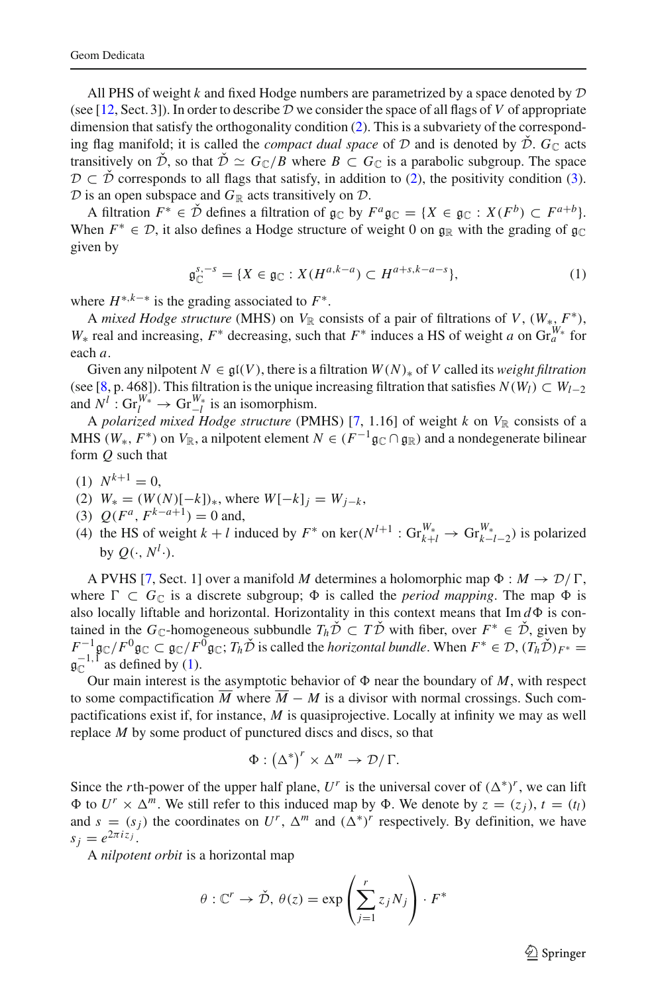All PHS of weight  $k$  and fixed Hodge numbers are parametrized by a space denoted by  $D$ (see [\[12,](#page-13-1) Sect. 3]). In order to describe  $D$  we consider the space of all flags of  $V$  of appropriate dimension that satisfy the orthogonality condition [\(2\)](#page-1-1). This is a subvariety of the corresponding flag manifold; it is called the *compact dual space* of  $D$  and is denoted by  $\check{D}$ .  $G_{\mathbb{C}}$  acts transitively on  $\check{\mathcal{D}}$ , so that  $\check{\mathcal{D}} \simeq G_{\mathbb{C}}/B$  where  $B \subset G_{\mathbb{C}}$  is a parabolic subgroup. The space  $\mathcal{D} \subset \mathcal{D}$  corresponds to all flags that satisfy, in addition to [\(2\)](#page-1-1), the positivity condition [\(3\)](#page-1-2).  $D$  is an open subspace and  $G_{\mathbb{R}}$  acts transitively on  $D$ .

A filtration  $F^* \in \check{\mathcal{D}}$  defines a filtration of  $\mathfrak{g}_{\mathbb{C}}$  by  $F^a \mathfrak{g}_{\mathbb{C}} = \{X \in \mathfrak{g}_{\mathbb{C}} : X(F^b) \subset F^{a+b}\}.$ When  $F^* \in \mathcal{D}$ , it also defines a Hodge structure of weight 0 on  $\mathfrak{g}_{\mathbb{R}}$  with the grading of  $\mathfrak{g}_{\mathbb{C}}$ given by

$$
\mathfrak{g}_{\mathbb{C}}^{s,-s} = \{ X \in \mathfrak{g}_{\mathbb{C}} : X(H^{a,k-a}) \subset H^{a+s,k-a-s} \},\tag{1}
$$

<span id="page-2-0"></span>where  $H^{*,k-*}$  is the grading associated to  $F^*$ .

A *mixed Hodge structure* (MHS) on  $V_{\mathbb{R}}$  consists of a pair of filtrations of *V*,  $(W_*, F^*)$ , *W*<sup>∗</sup> real and increasing,  $F^*$  decreasing, such that  $F^*$  induces a HS of weight *a* on  $\text{Gr}_{a}^{W^*}$  for each *a*.

Given any nilpotent  $N \in \mathfrak{gl}(V)$ , there is a filtration  $W(N)_*$  of V called its *weight filtration* (see [\[8](#page-12-6), p. 468]). This filtration is the unique increasing filtration that satisfies  $N(W_l) \subset W_{l-2}$ and  $N^l$  : Gr<sup>W<sub>\*</sub></sup> → Gr<sup>W<sub>\*</sub></sup> is an isomorphism.

A *polarized mixed Hodge structure* (PMHS) [\[7](#page-12-1), 1.16] of weight  $k$  on  $V_{\mathbb{R}}$  consists of a MHS ( $W_*$ ,  $F^*$ ) on  $V_{\mathbb{R}}$ , a nilpotent element  $N \in (F^{-1} \mathfrak{g}_\mathbb{C} \cap \mathfrak{g}_\mathbb{R})$  and a nondegenerate bilinear form *Q* such that

- $(1)$   $N^{k+1} = 0$ .
- (2)  $W_* = (W(N)[-k])_*$ , where  $W[-k]_i = W_{i-k}$ ,
- (3)  $Q(F^a, F^{k-a+1}) = 0$  and,
- (4) the HS of weight  $k + l$  induced by  $F^*$  on ker( $N^{l+1}$  :  $Gr_{k+l}^{W_*} \to Gr_{k-l-2}^{W_*}$ ) is polarized by  $Q(\cdot, N^l \cdot).$

A PVHS [\[7,](#page-12-1) Sect. 1] over a manifold *M* determines a holomorphic map  $\Phi : M \to \mathcal{D}/\Gamma$ , where  $\Gamma \subset G_{\mathbb{C}}$  is a discrete subgroup;  $\Phi$  is called the *period mapping*. The map  $\Phi$  is also locally liftable and horizontal. Horizontality in this context means that  $\text{Im } d\Phi$  is contained in the *G*<sub>C</sub>-homogeneous subbundle  $T_h\check{\mathcal{D}} \subset T\check{\mathcal{D}}$  with fiber, over  $F^* \in \check{\mathcal{D}}$ , given by  $F^{-1}$ g $\subset$ /*F*<sup>0</sup>g $\subset$  g $\subset$ /*F*<sup>0</sup>g $\subset$ ; *Th* $\check{D}$  is called the *horizontal bundle*. When  $F^* \in \mathcal{D}$ ,  $(T_h \check{D})_{F^*} =$  $\mathfrak{g}_{\mathbb{C}}^{-1,\overline{1}}$  as defined by [\(1\)](#page-2-0).

Our main interest is the asymptotic behavior of  $\Phi$  near the boundary of *M*, with respect to some compactification  $\overline{M}$  where  $\overline{M} - M$  is a divisor with normal crossings. Such compactifications exist if, for instance, *M* is quasiprojective. Locally at infinity we may as well replace *M* by some product of punctured discs and discs, so that

$$
\Phi : (\Delta^*)^r \times \Delta^m \to \mathcal{D}/\Gamma.
$$

Since the *r*th-power of the upper half plane,  $U^r$  is the universal cover of  $(\Delta^*)^r$ , we can lift  $\Phi$  to  $U^r \times \Delta^m$ . We still refer to this induced map by  $\Phi$ . We denote by  $z = (z_i)$ ,  $t = (t_i)$ and  $s = (s_j)$  the coordinates on  $U^r$ ,  $\Delta^m$  and  $({\Delta^*})^r$  respectively. By definition, we have  $s_i = e^{2\pi i z_j}$ .

A *nilpotent orbit* is a horizontal map

$$
\theta
$$
:  $\mathbb{C}^r \to \check{\mathcal{D}}, \ \theta(z) = \exp\left(\sum_{j=1}^r z_j N_j\right) \cdot F^*$ 

 $\mathcal{L}$  Springer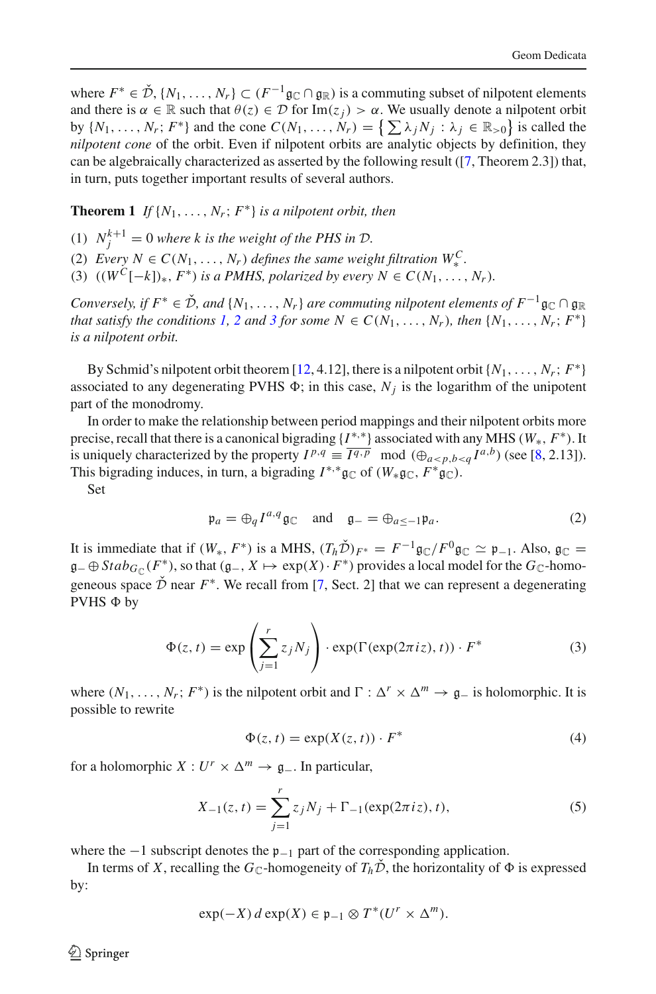where  $F^* \in \check{\mathcal{D}}, \{N_1,\ldots,N_r\} \subset (F^{-1}\mathfrak{g}_{\mathbb{C}} \cap \mathfrak{g}_{\mathbb{R}})$  is a commuting subset of nilpotent elements and there is  $\alpha \in \mathbb{R}$  such that  $\theta(z) \in \mathcal{D}$  for  $\text{Im}(z_i) > \alpha$ . We usually denote a nilpotent orbit by  $\{N_1, \ldots, N_r; F^*\}$  and the cone  $C(N_1, \ldots, N_r) = \{\sum \lambda_j N_j : \lambda_j \in \mathbb{R}_{>0}\}\)$  is called the *nilpotent cone* of the orbit. Even if nilpotent orbits are analytic objects by definition, they can be algebraically characterized as asserted by the following result ([\[7,](#page-12-1) Theorem 2.3]) that, in turn, puts together important results of several authors.

<span id="page-3-7"></span><span id="page-3-0"></span>**Theorem 1** *If*  $\{N_1, \ldots, N_r; F^*\}$  *is a nilpotent orbit, then* 

- <span id="page-3-1"></span>(1)  $N_j^{k+1} = 0$  where k is the weight of the PHS in  $\mathcal{D}$ .
- (2) *Every*  $N \in C(N_1, \ldots, N_r)$  *defines the same weight filtration*  $W_*^C$ .<br>  $(2)$   $(W_{-}^C, L)$   $W_{-}^R$ . **DAUC**
- <span id="page-3-2"></span>(3)  $((W^C[-k])_*, F^*)$  *is a PMHS, polarized by every*  $N \in C(N_1, ..., N_r)$ .

*Conversely, if*  $F^* \in \check{D}$ *, and*  $\{N_1, \ldots, N_r\}$  *are commuting nilpotent elements of*  $F^{-1}$  g<sub>C</sub> ∩ g<sub>R</sub> *that satisfy the conditions [1,](#page-3-0) [2](#page-3-1) and [3](#page-3-2) for some*  $N \in C(N_1, \ldots, N_r)$ *, then*  $\{N_1, \ldots, N_r : F^*\}$ *is a nilpotent orbit.*

By Schmid's nilpotent orbit theorem [\[12](#page-13-1), 4.12], there is a nilpotent orbit  $\{N_1, \ldots, N_r; F^*\}$ associated to any degenerating PVHS  $\Phi$ ; in this case,  $N_j$  is the logarithm of the unipotent part of the monodromy.

In order to make the relationship between period mappings and their nilpotent orbits more precise, recall that there is a canonical bigrading  ${I^{*,*}}$  associated with any MHS ( $W_*, F^*$ ). It is uniquely characterized by the property  $I^{p,q} \equiv \overline{I^{q,p}} \mod (\bigoplus_{a < p,b < q} I^{a,b})$  (see [\[8](#page-12-6), 2.13]). This bigrading induces, in turn, a bigrading  $I^{*,*}$ g $\subset$  of  $(W_*$ g $\subset$ ,  $F^*$ g $\subset$ ).

<span id="page-3-5"></span>Set

$$
\mathfrak{p}_a = \bigoplus_q I^{a,q} \mathfrak{g}_{\mathbb{C}} \quad \text{and} \quad \mathfrak{g}_{-} = \bigoplus_{a \le -1} \mathfrak{p}_a. \tag{2}
$$

It is immediate that if  $(W_*, F^*)$  is a MHS,  $(T_h \check{\mathcal{D}})_{F^*} = F^{-1} \mathfrak{g}_{\mathbb{C}} / F^0 \mathfrak{g}_{\mathbb{C}} \simeq \mathfrak{p}_{-1}$ . Also,  $\mathfrak{g}_{\mathbb{C}} =$ g− ⊕  $Stab_{G_\mathbb{C}}(F^*)$ , so that  $(g_-, X \mapsto \exp(X) \cdot F^*)$  provides a local model for the  $G_\mathbb{C}$ -homogeneous space  $\check{\mathcal{D}}$  near  $F^*$ . We recall from [\[7](#page-12-1), Sect. 2] that we can represent a degenerating  $PVHS$   $\Phi$  by

$$
\Phi(z, t) = \exp\left(\sum_{j=1}^{r} z_j N_j\right) \cdot \exp(\Gamma(\exp(2\pi i z), t)) \cdot F^*
$$
\n(3)

<span id="page-3-6"></span>where  $(N_1, \ldots, N_r; F^*)$  is the nilpotent orbit and  $\Gamma : \Delta^r \times \Delta^m \to \mathfrak{g}_-$  is holomorphic. It is possible to rewrite

$$
\Phi(z, t) = \exp(X(z, t)) \cdot F^*
$$
\n(4)

<span id="page-3-4"></span><span id="page-3-3"></span>for a holomorphic *X* :  $U^r \times \Delta^m \rightarrow \mathfrak{g}_-$ . In particular,

$$
X_{-1}(z,t) = \sum_{j=1}^{r} z_j N_j + \Gamma_{-1}(\exp(2\pi i z), t),
$$
 (5)

where the  $-1$  subscript denotes the  $p_{-1}$  part of the corresponding application.

In terms of *X*, recalling the  $G_{\mathbb{C}}$ -homogeneity of  $T_h\check{\mathcal{D}}$ , the horizontality of  $\Phi$  is expressed by:

$$
\exp(-X) d \exp(X) \in \mathfrak{p}_{-1} \otimes T^*(U^r \times \Delta^m).
$$

 $\mathcal{L}$  Springer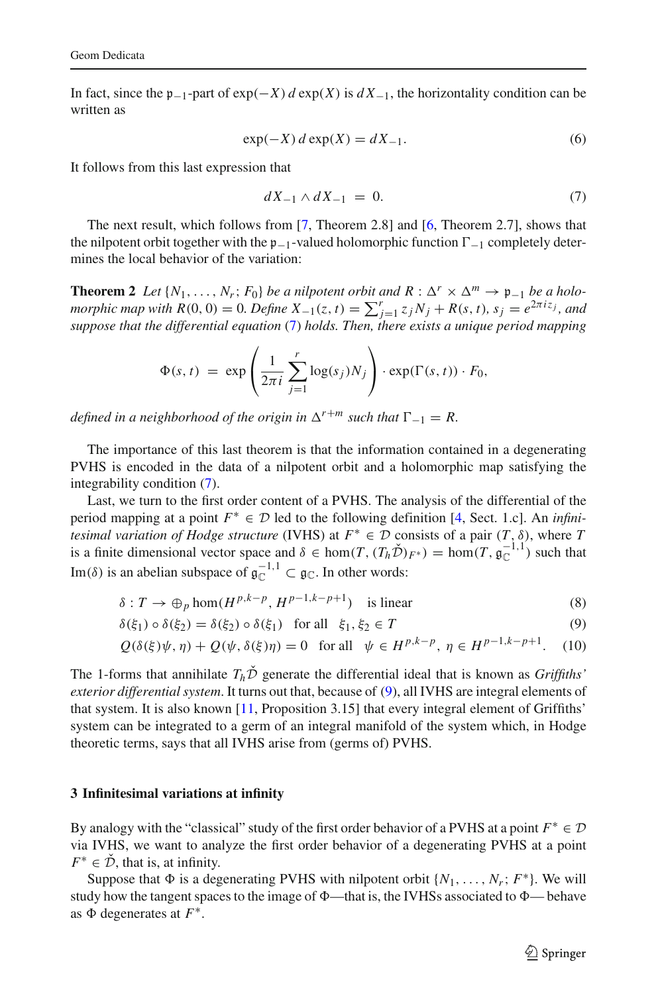In fact, since the p<sub>−1</sub>-part of  $exp(-X) d exp(X)$  is  $dX_{-1}$ , the horizontality condition can be written as

$$
\exp(-X) d \exp(X) = dX_{-1}.
$$
 (6)

<span id="page-4-3"></span><span id="page-4-1"></span>It follows from this last expression that

$$
dX_{-1} \wedge dX_{-1} = 0. \tag{7}
$$

The next result, which follows from [\[7,](#page-12-1) Theorem 2.8] and [\[6,](#page-12-4) Theorem 2.7], shows that the nilpotent orbit together with the  $p_{-1}$ -valued holomorphic function  $\Gamma_{-1}$  completely determines the local behavior of the variation:

<span id="page-4-4"></span>**Theorem 2** *Let*  $\{N_1, \ldots, N_r; F_0\}$  *be a nilpotent orbit and*  $R : \Delta^r \times \Delta^m \to \mathfrak{p}_{-1}$  *be a holomorphic map with R*(0, 0) = 0*. Define*  $X_{-1}(z, t) = \sum_{j=1}^{r} z_j N_j + R(s, t)$ ,  $s_j = e^{2\pi i z_j}$ , and *suppose that the differential equation* [\(7\)](#page-4-1) *holds. Then, there exists a unique period mapping*

$$
\Phi(s,t) = \exp\left(\frac{1}{2\pi i}\sum_{j=1}^r \log(s_j)N_j\right) \cdot \exp(\Gamma(s,t)) \cdot F_0,
$$

*defined in a neighborhood of the origin in*  $\Delta^{r+m}$  *such that*  $\Gamma_{-1} = R$ .

The importance of this last theorem is that the information contained in a degenerating PVHS is encoded in the data of a nilpotent orbit and a holomorphic map satisfying the integrability condition [\(7\)](#page-4-1).

Last, we turn to the first order content of a PVHS. The analysis of the differential of the period mapping at a point *F*<sup>∗</sup> ∈ D led to the following definition [\[4,](#page-12-0) Sect. 1.c]. An *infinitesimal variation of Hodge structure* (IVHS) at  $F^* \in \mathcal{D}$  consists of a pair  $(T, \delta)$ , where *T* is a finite dimensional vector space and  $\delta \in \text{hom}(T, (T_h \check{\mathcal{D}})_{F^*}) = \text{hom}(T, \mathfrak{g}_{\mathbb{C}}^{-1,1})$  such that Im( $\delta$ ) is an abelian subspace of  $\mathfrak{g}_{\mathbb{C}}^{-1,1} \subset \mathfrak{g}_{\mathbb{C}}$ . In other words:

$$
\delta: T \to \oplus_p \hom(H^{p,k-p}, H^{p-1,k-p+1}) \quad \text{is linear}
$$
 (8)

$$
\delta(\xi_1) \circ \delta(\xi_2) = \delta(\xi_2) \circ \delta(\xi_1) \quad \text{for all} \quad \xi_1, \xi_2 \in T \tag{9}
$$

$$
Q(\delta(\xi)\psi, \eta) + Q(\psi, \delta(\xi)\eta) = 0 \quad \text{for all} \quad \psi \in H^{p,k-p}, \ \eta \in H^{p-1,k-p+1}.
$$
 (10)

<span id="page-4-2"></span>The 1-forms that annihilate  $T_h\tilde{D}$  generate the differential ideal that is known as *Griffiths' exterior differential system*. It turns out that, because of [\(9\)](#page-4-2), all IVHS are integral elements of that system. It is also known [\[11,](#page-13-0) Proposition 3.15] that every integral element of Griffiths' system can be integrated to a germ of an integral manifold of the system which, in Hodge theoretic terms, says that all IVHS arise from (germs of) PVHS.

#### <span id="page-4-0"></span>**3 Infinitesimal variations at infinity**

By analogy with the "classical" study of the first order behavior of a PVHS at a point  $F^* \in \mathcal{D}$ via IVHS, we want to analyze the first order behavior of a degenerating PVHS at a point  $F^* \in \mathcal{D}$ , that is, at infinity.

Suppose that  $\Phi$  is a degenerating PVHS with nilpotent orbit  $\{N_1, \ldots, N_r; F^*\}$ . We will study how the tangent spaces to the image of  $\Phi$ —that is, the IVHSs associated to  $\Phi$ — behave as  $\Phi$  degenerates at  $F^*$ .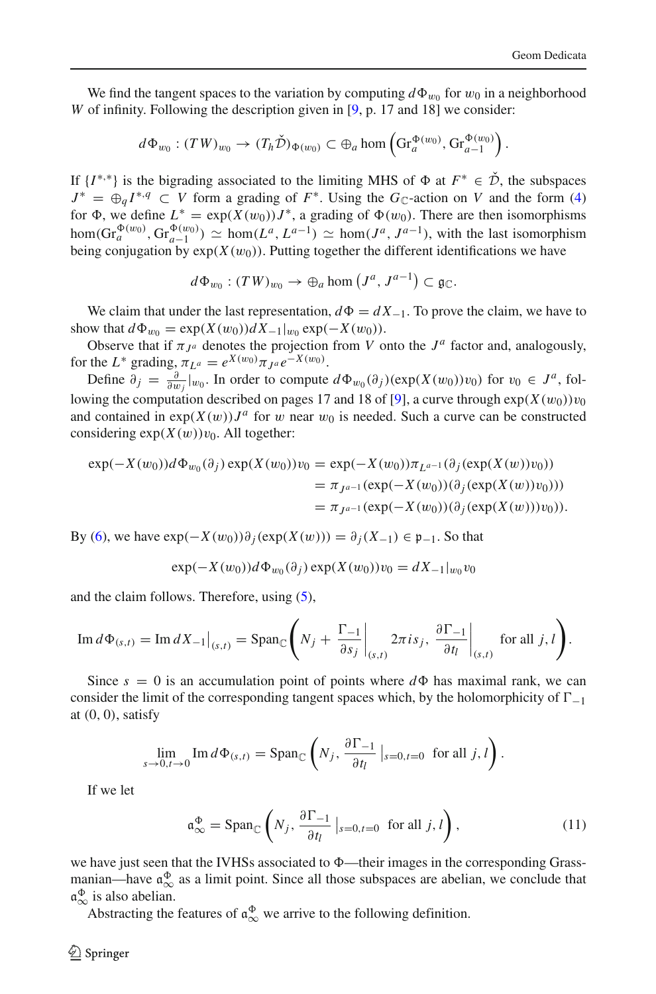We find the tangent spaces to the variation by computing  $d\Phi_{w_0}$  for  $w_0$  in a neighborhood *W* of infinity. Following the description given in [\[9,](#page-12-7) p. 17 and 18] we consider:

$$
d\Phi_{w_0}:(TW)_{w_0}\to (T_h\check{\mathcal{D}})_{\Phi(w_0)}\subset \oplus_a \text{hom}\left(\text{Gr}_a^{\Phi(w_0)},\text{Gr}_{a-1}^{\Phi(w_0)}\right).
$$

If  $\{I^{*,*}\}\$ is the bigrading associated to the limiting MHS of  $\Phi$  at  $F^* \in \tilde{\mathcal{D}}$ , the subspaces  $J^* = \Theta_d I^{*,q} \subset V$  form a grading of  $F^*$ . Using the  $G_{\mathbb{C}}$ -action on *V* and the form [\(4\)](#page-3-4) for  $\Phi$ , we define  $L^* = \exp(X(w_0))J^*$ , a grading of  $\Phi(w_0)$ . There are then isomorphisms  $hom(Gr_a^{\Phi(w_0)}, Gr_{a-1}^{\Phi(w_0)}) \simeq hom(L^a, L^{a-1}) \simeq hom(J^a, J^{a-1}),$  with the last isomorphism being conjugation by  $exp(X(w_0))$ . Putting together the different identifications we have

$$
d\Phi_{w_0}: (TW)_{w_0} \to \oplus_a \hom\left(J^a, J^{a-1}\right) \subset \mathfrak{g}_{\mathbb{C}}.
$$

We claim that under the last representation,  $d\Phi = dX_{-1}$ . To prove the claim, we have to show that  $d\Phi_{w_0} = \exp(X(w_0))dX_{-1}|_{w_0} \exp(-X(w_0)).$ 

Observe that if  $\pi_{J^a}$  denotes the projection from *V* onto the  $J^a$  factor and, analogously, for the *L*<sup>\*</sup> grading<sub>3</sub></sub> $\pi_{L^a} = e^{X(w_0)} \pi_{J^a} e^{-X(w_0)}$ .

Define  $\partial_j = \frac{\partial}{\partial w_j}|_{w_0}$ . In order to compute  $d\Phi_{w_0}(\partial_j)(\exp(X(w_0))v_0)$  for  $v_0 \in J^a$ , fol-lowing the computation described on pages 17 and 18 of [\[9](#page-12-7)], a curve through  $exp(X(w_0))v_0$ and contained in  $exp(X(w))J^a$  for w near  $w_0$  is needed. Such a curve can be constructed considering  $exp(X(w))v_0$ . All together:

$$
\exp(-X(w_0))d\Phi_{w_0}(\partial_j)\exp(X(w_0))v_0 = \exp(-X(w_0))\pi_{L^{a-1}}(\partial_j(\exp(X(w))v_0))
$$
  
=  $\pi_{J^{a-1}}(\exp(-X(w_0))(\partial_j(\exp(X(w))v_0)))$   
=  $\pi_{J^{a-1}}(\exp(-X(w_0))(\partial_j(\exp(X(w)))v_0)).$ 

By [\(6\)](#page-4-3), we have  $exp(-X(w_0))\partial_i(exp(X(w))) = \partial_i(X_{-1}) \in \mathfrak{p}_{-1}$ . So that

$$
\exp(-X(w_0))d\Phi_{w_0}(\partial_j)\exp(X(w_0))v_0 = dX_{-1}|_{w_0}v_0
$$

and the claim follows. Therefore, using [\(5\)](#page-3-3),

$$
\operatorname{Im} d\Phi_{(s,t)} = \operatorname{Im} dX_{-1}\big|_{(s,t)} = \operatorname{Span}_{\mathbb{C}}\left(N_j + \frac{\Gamma_{-1}}{\partial s_j}\bigg|_{(s,t)} 2\pi i s_j, \left.\frac{\partial \Gamma_{-1}}{\partial t_l}\right|_{(s,t)} \text{ for all } j,l\right).
$$

Since  $s = 0$  is an accumulation point of points where  $d\Phi$  has maximal rank, we can consider the limit of the corresponding tangent spaces which, by the holomorphicity of  $\Gamma_{-1}$ at  $(0, 0)$ , satisfy

$$
\lim_{s \to 0, t \to 0} \operatorname{Im} d\Phi_{(s,t)} = \operatorname{Span}_{\mathbb{C}} \left( N_j, \frac{\partial \Gamma_{-1}}{\partial t_l} \big|_{s=0, t=0} \text{ for all } j, l \right).
$$

<span id="page-5-1"></span>If we let

<span id="page-5-0"></span>
$$
\mathfrak{a}_{\infty}^{\Phi} = \text{Span}_{\mathbb{C}}\left(N_j, \frac{\partial \Gamma_{-1}}{\partial t_l} \big|_{s=0, t=0} \text{ for all } j, l\right),\tag{11}
$$

we have just seen that the IVHSs associated to  $\Phi$ —their images in the corresponding Grassmanian—have  $\mathfrak{a}_{\infty}^{\Phi}$  as a limit point. Since all those subspaces are abelian, we conclude that  $a_{\infty}^{\Phi}$  is also abelian.

Abstracting the features of  $\mathfrak{a}_{\infty}^{\Phi}$  we arrive to the following definition.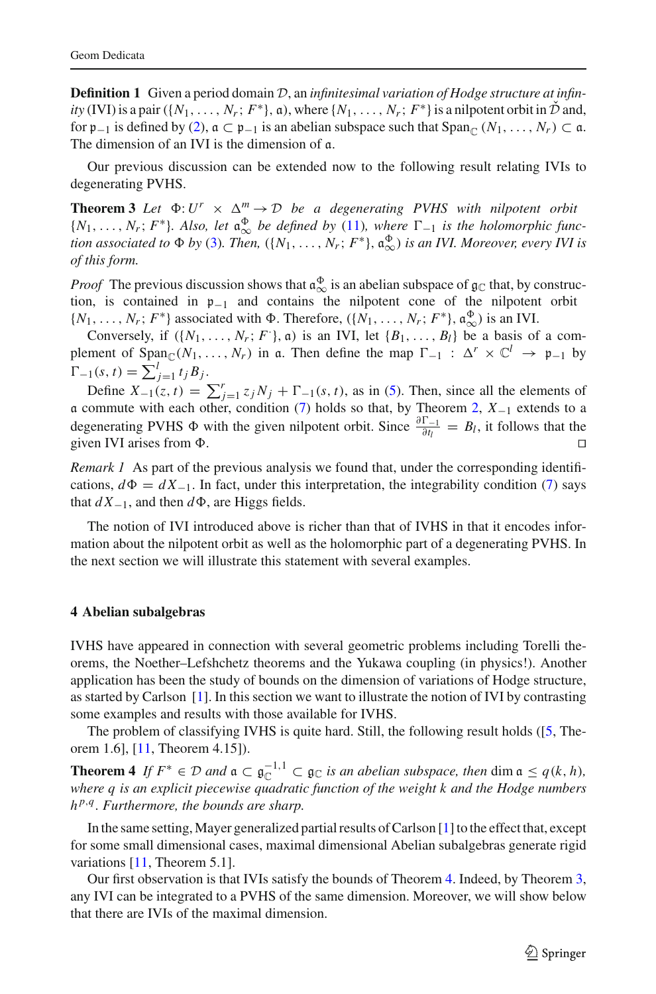**Definition 1** Given a period domain D, an *infinitesimal variation of Hodge structure at infinity* (IVI) is a pair ({ $N_1$ , ...,  $N_r$ ;  $F^*$ },  $\alpha$ ), where { $N_1$ , ...,  $N_r$ ;  $F^*$ } is a nilpotent orbit in  $\tilde{\mathcal{D}}$  and, for  $\mathfrak{p}_{-1}$  is defined by [\(2\)](#page-3-5),  $\mathfrak{a} \subset \mathfrak{p}_{-1}$  is an abelian subspace such that  $\text{Span}_{\mathfrak{C}} (N_1, \ldots, N_r) \subset \mathfrak{a}$ . The dimension of an IVI is the dimension of a.

<span id="page-6-0"></span>Our previous discussion can be extended now to the following result relating IVIs to degenerating PVHS.

**Theorem 3** *Let*  $\Phi: U^r \times \Delta^m \to \mathcal{D}$  *be a degenerating PVHS with nilpotent orbit*  ${N_1, \ldots, N_r; F^*}.$  Also, let  $\mathfrak{a}^{\Phi}_{\infty}$  be defined by [\(11\)](#page-5-1)*, where*  $\Gamma_{-1}$  *is the holomorphic function associated to*  $\Phi$  *by* [\(3\)](#page-3-6). Then,  $({N_1, \ldots, N_r; F^*}, \mathfrak{a}_{\infty}^{\Phi})$  *is an IVI. Moreover, every IVI is of this form.*

*Proof* The previous discussion shows that  $\mathfrak{a}_{\infty}^{\Phi}$  is an abelian subspace of  $\mathfrak{g}_{\mathbb{C}}$  that, by construction, is contained in p−<sup>1</sup> and contains the nilpotent cone of the nilpotent orbit  $\{N_1, \ldots, N_r; F^*\}$  associated with  $\Phi$ . Therefore,  $(\{N_1, \ldots, N_r; F^*\}, \mathfrak{a}_{\infty}^{\Phi})$  is an IVI.

Conversely, if  $({N_1, \ldots, N_r; F}, \mathfrak{a})$  is an IVI, let  ${B_1, \ldots, B_l}$  be a basis of a complement of  $Span_{\mathbb{C}}(N_1,\ldots,N_r)$  in a. Then define the map  $\Gamma_{-1} : \Delta^r \times \mathbb{C}^l \to \mathfrak{p}_{-1}$  by  $\Gamma_{-1}(s, t) = \sum_{j=1}^{l} t_j B_j.$ 

Define  $X_{-1}(z, t) = \sum_{j=1}^{r} z_j N_j + \Gamma_{-1}(s, t)$ , as in [\(5\)](#page-3-3). Then, since all the elements of a commute with each other, condition [\(7\)](#page-4-1) holds so that, by Theorem [2,](#page-4-4) *X*−<sup>1</sup> extends to a degenerating PVHS  $\Phi$  with the given nilpotent orbit. Since  $\frac{\partial \Gamma_{-1}}{\partial t_l} = B_l$ , it follows that the given IVI arises from  $\Phi$ .

*Remark 1* As part of the previous analysis we found that, under the corresponding identifications,  $d\Phi = dX_{-1}$ . In fact, under this interpretation, the integrability condition [\(7\)](#page-4-1) says that  $dX_{-1}$ , and then  $d\Phi$ , are Higgs fields.

The notion of IVI introduced above is richer than that of IVHS in that it encodes information about the nilpotent orbit as well as the holomorphic part of a degenerating PVHS. In the next section we will illustrate this statement with several examples.

#### <span id="page-6-1"></span>**4 Abelian subalgebras**

IVHS have appeared in connection with several geometric problems including Torelli theorems, the Noether–Lefshchetz theorems and the Yukawa coupling (in physics!). Another application has been the study of bounds on the dimension of variations of Hodge structure, as started by Carlson [\[1\]](#page-12-8). In this section we want to illustrate the notion of IVI by contrasting some examples and results with those available for IVHS.

<span id="page-6-2"></span>The problem of classifying IVHS is quite hard. Still, the following result holds ([\[5](#page-12-5), Theorem 1.6], [\[11](#page-13-0), Theorem 4.15]).

**Theorem 4** *If*  $F^* \in \mathcal{D}$  *and*  $\mathfrak{a} \subset \mathfrak{g}_{\mathbb{C}}^{-1,1} \subset \mathfrak{g}_{\mathbb{C}}$  *is an abelian subspace, then* dim  $\mathfrak{a} \leq q(k, h)$ , *where q is an explicit piecewise quadratic function of the weight k and the Hodge numbers h <sup>p</sup>*,*<sup>q</sup> . Furthermore, the bounds are sharp.*

In the same setting,Mayer generalized partial results of Carlson [\[1](#page-12-8)] to the effect that, except for some small dimensional cases, maximal dimensional Abelian subalgebras generate rigid variations [\[11](#page-13-0), Theorem 5.1].

<span id="page-6-3"></span>Our first observation is that IVIs satisfy the bounds of Theorem [4.](#page-6-2) Indeed, by Theorem [3,](#page-6-0) any IVI can be integrated to a PVHS of the same dimension. Moreover, we will show below that there are IVIs of the maximal dimension.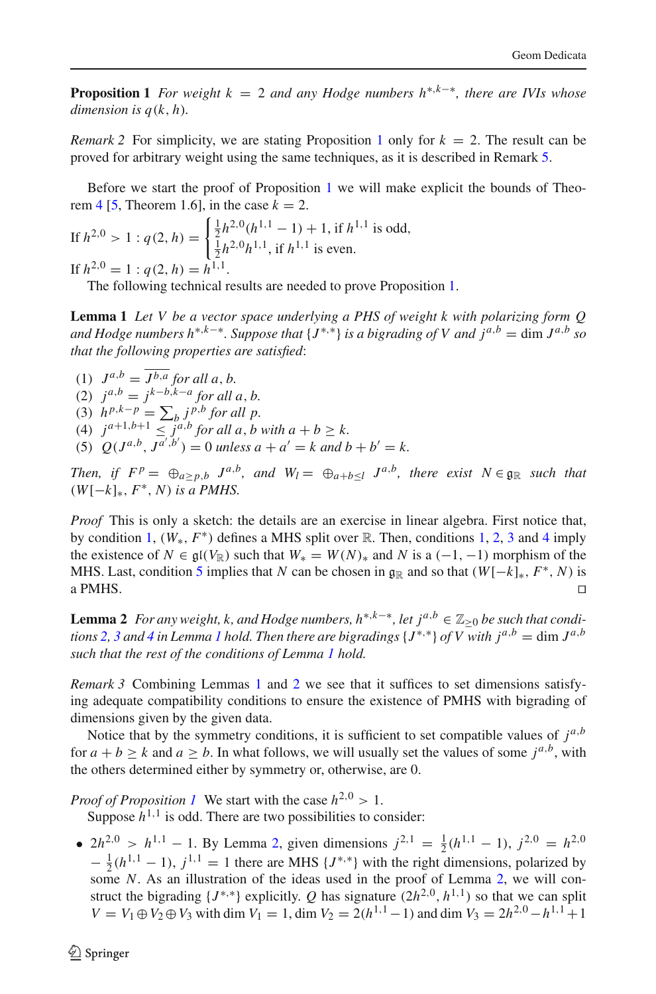**Proposition 1** *For weight*  $k = 2$  *and any Hodge numbers*  $h^{*,k-*}$ *, there are IVIs whose dimension is*  $q(k, h)$ *.* 

*Remark* 2 For simplicity, we are stating Proposition [1](#page-6-3) only for  $k = 2$ . The result can be proved for arbitrary weight using the same techniques, as it is described in Remark [5.](#page-9-0)

Before we start the proof of Proposition [1](#page-6-3) we will make explicit the bounds of Theo-rem [4](#page-6-2) [\[5](#page-12-5), Theorem 1.6], in the case  $k = 2$ .

If 
$$
h^{2,0} > 1
$$
:  $q(2, h) = \begin{cases} \frac{1}{2}h^{2,0}(h^{1,1} - 1) + 1, \text{ if } h^{1,1} \text{ is odd,} \\ \frac{1}{2}h^{2,0}h^{1,1}, \text{ if } h^{1,1} \text{ is even.} \end{cases}$   
If  $h^{2,0} = 1$ :  $q(2, h) = h^{1,1}$ .

The following technical results are needed to prove Proposition [1.](#page-6-3)

<span id="page-7-6"></span>**Lemma 1** *Let V be a vector space underlying a PHS of weight k with polarizing form Q and Hodge numbers h*<sup>∗,*k*−∗</sup>. Suppose that {*J*<sup>\*,\*</sup>} *is a bigrading of V and*  $i^{a,b} = \dim J^{a,b}$  *so that the following properties are satisfied*:

- <span id="page-7-3"></span><span id="page-7-2"></span><span id="page-7-1"></span>(1)  $J^{a,b} = \overline{J^{b,a}}$  for all a, b. (2)  $j^{a,b} = j^{k-b,k-a}$  for all a, b. (3)  $h^{p,k-p} = \sum_b j^{p,b}$  for all p. (4)  $j^{a+1,b+1} \leq j^{a,b}$  *for all a*, *b* with  $a + b \geq k$ .
- <span id="page-7-5"></span><span id="page-7-4"></span>(5)  $Q(J^{a,b}, J^{a',b'}) = 0$  *unless*  $a + a' = k$  *and*  $b + b' = k$ .

*Then, if*  $F^p = \bigoplus_{a > p,b} J^{a,b}$ *, and*  $W_l = \bigoplus_{a+b < l} J^{a,b}$ *, there exist*  $N \in \mathfrak{g}_\mathbb{R}$  such that  $(W[-k]_*, F^*, N)$  *is a PMHS.* 

*Proof* This is only a sketch: the details are an exercise in linear algebra. First notice that, by condition [1,](#page-7-1) (*W*∗, *F*∗) defines a MHS split over R. Then, conditions [1,](#page-7-1) [2,](#page-7-2) [3](#page-7-3) and [4](#page-7-4) imply the existence of  $N \in \mathfrak{gl}(V_{\mathbb{R}})$  such that  $W_* = W(N)_*$  and  $N$  is a (-1, -1) morphism of the MHS. Last, condition [5](#page-7-5) implies that *N* can be chosen in  $\mathfrak{g}_{\mathbb{R}}$  and so that  $(W[-k]_*, F^*, N)$  is a PMHS. a PMHS.  $\Box$ 

<span id="page-7-0"></span>**Lemma 2** *For any weight, k, and Hodge numbers,*  $h^{*,k-*}$ *, let*  $j^{a,b} \in \mathbb{Z}_{\geq 0}$  *be such that conditions* [2,](#page-7-2) [3](#page-7-3) and [4](#page-7-4) in Lemma [1](#page-7-6) hold. Then there are bigradings  $\{J^{*,*}\}\$  of V with  $j^{a,b} = \dim J^{a,b}$ *such that the rest of the conditions of Lemma [1](#page-7-6) hold.*

*Remark 3* Combining Lemmas [1](#page-7-6) and [2](#page-7-0) we see that it suffices to set dimensions satisfying adequate compatibility conditions to ensure the existence of PMHS with bigrading of dimensions given by the given data.

Notice that by the symmetry conditions, it is sufficient to set compatible values of  $j^{a,b}$ for  $a + b \ge k$  and  $a \ge b$ . In what follows, we will usually set the values of some  $j^{a,b}$ , with the others determined either by symmetry or, otherwise, are 0.

*Proof of Proposition [1](#page-6-3)* We start with the case  $h^{2,0} > 1$ .

Suppose  $h^{1,1}$  is odd. There are two possibilities to consider:

•  $2h^{2,0} > h^{1,1} - 1$  $2h^{2,0} > h^{1,1} - 1$  $2h^{2,0} > h^{1,1} - 1$ . By Lemma 2, given dimensions  $j^{2,1} = \frac{1}{2}(h^{1,1} - 1)$ ,  $j^{2,0} = h^{2,0}$  $-\frac{1}{2}(h^{1,1}-1)$ ,  $j^{1,1}=1$  there are MHS {*J*<sup>\*,\*</sup>} with the right dimensions, polarized by some *N*. As an illustration of the ideas used in the proof of Lemma [2,](#page-7-0) we will construct the bigrading  $\{J^{*,*}\}\$ explicitly. *Q* has signature  $(2h^{2,0}, h^{1,1})$  so that we can split  $V = V_1 \oplus V_2 \oplus V_3$  with dim  $V_1 = 1$ , dim  $V_2 = 2(h^{1,1} - 1)$  and dim  $V_3 = 2h^{2,0} - h^{1,1} + 1$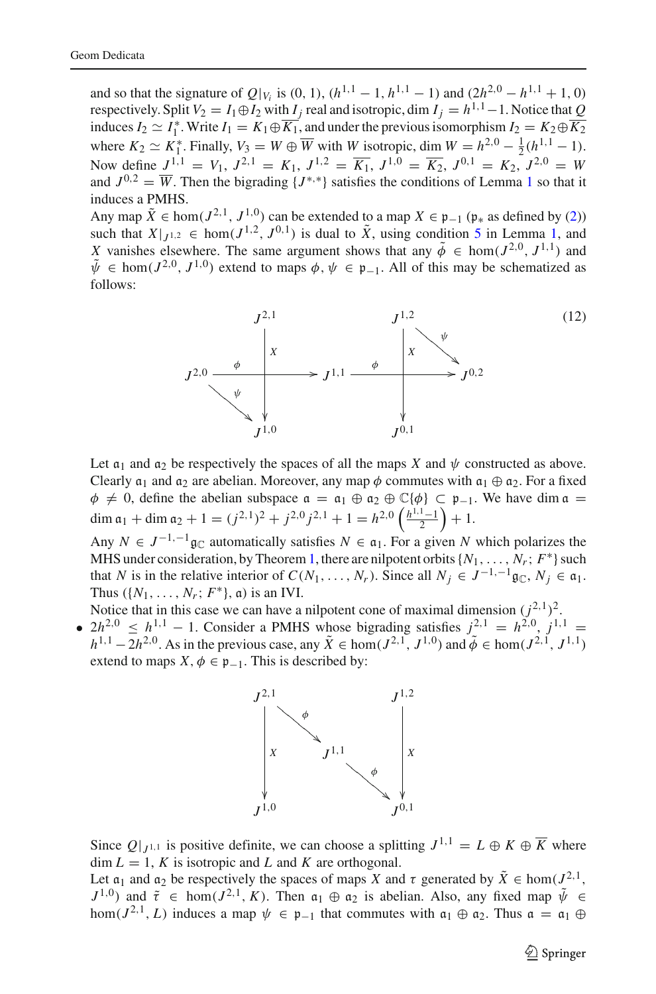and so that the signature of  $Q|_{V_i}$  is (0, 1),  $(h^{1,1} - 1, h^{1,1} - 1)$  and  $(2h^{2,0} - h^{1,1} + 1, 0)$ respectively. Split  $V_2 = I_1 \oplus I_2$  with  $I_j$  real and isotropic, dim  $I_j = h^{1,1} - 1$ . Notice that *Q* induces  $I_2 \simeq I_1^*$ . Write  $I_1 = K_1 \oplus K_1$ , and under the previous isomorphism  $I_2 = K_2 \oplus K_2$ where  $K_2 \simeq K_1^*$ . Finally,  $V_3 = W \oplus \overline{W}$  with *W* isotropic, dim  $W = h^{2,0} - \frac{1}{2}(h^{1,1} - 1)$ . Now define  $J^{1,1} = V_1$ ,  $J^{2,1} = K_1$ ,  $J^{1,2} = \overline{K_1}$ ,  $J^{1,0} = \overline{K_2}$ ,  $J^{0,1} = K_2$ ,  $J^{2,0} = W$ and  $J^{0,2} = \overline{W}$ . Then the bigrading  $\{J^{*,*}\}\$  satisfies the conditions of Lemma [1](#page-7-6) so that it induces a PMHS.

Any map  $\tilde{X} \in \text{hom}(J^{2,1}, J^{1,0})$  can be extended to a map  $X \in \mathfrak{p}_{-1}$  ( $\mathfrak{p}_*$  as defined by [\(2\)](#page-3-5)) such that  $X|_{J^{1,2}} \in \text{hom}(J^{1,2}, J^{0,1})$  $X|_{J^{1,2}} \in \text{hom}(J^{1,2}, J^{0,1})$  $X|_{J^{1,2}} \in \text{hom}(J^{1,2}, J^{0,1})$  is dual to  $\tilde{X}$ , using condition [5](#page-7-5) in Lemma 1, and *X* vanishes elsewhere. The same argument shows that any  $\tilde{\phi} \in \text{hom}(J^{2,0}, J^{1,1})$  and  $\tilde{\psi} \in \text{hom}(J^{2,0}, J^{1,0})$  extend to maps  $\phi, \psi \in \mathfrak{p}_{-1}$ . All of this may be schematized as follows:

<span id="page-8-0"></span>

Let  $a_1$  and  $a_2$  be respectively the spaces of all the maps *X* and  $\psi$  constructed as above. Clearly  $\mathfrak{a}_1$  and  $\mathfrak{a}_2$  are abelian. Moreover, any map  $\phi$  commutes with  $\mathfrak{a}_1 \oplus \mathfrak{a}_2$ . For a fixed  $\phi \neq 0$ , define the abelian subspace  $\alpha = \alpha_1 \oplus \alpha_2 \oplus \mathbb{C}{\lbrace \phi \rbrace} \subset \mathfrak{p}_{-1}$ . We have dim  $\alpha =$ dim  $a_1 + \dim a_2 + 1 = (j^{2,1})^2 + j^{2,0}j^{2,1} + 1 = h^{2,0}\left(\frac{h^{1,1}-1}{2}\right) + 1.$ 

Any  $N \in J^{-1,-1}$  g<sub>C</sub> automatically satisfies  $N \in \mathfrak{a}_1$ . For a given N which polarizes the MHS under consideration, by Theorem [1,](#page-3-7) there are nilpotent orbits  $\{N_1, \ldots, N_r; F^*\}$  such that *N* is in the relative interior of  $C(N_1, \ldots, N_r)$ . Since all  $N_j \in J^{-1,-1}$  g<sub>C</sub>,  $N_j \in \mathfrak{a}_1$ . Thus  $({N_1, \ldots, N_r; F^*}, \mathfrak{a})$  is an IVI.

Notice that in this case we can have a nilpotent cone of maximal dimension  $(j^{2,1})^2$ .

•  $2h^{2,0} \leq h^{1,1} - 1$ . Consider a PMHS whose bigrading satisfies  $j^{2,1} = h^{2,0}$ ,  $j^{1,1} =$ *h*<sup>1,1</sup> − 2*h*<sup>2,0</sup>. As in the previous case, any  $\tilde{X}$  ∈ hom( $J^{2,1}$ ,  $J^{1,0}$ ) and  $\tilde{\phi}$  ∈ hom( $J^{2,1}$ ,  $J^{1,1}$ ) extend to maps  $X, \phi \in \mathfrak{p}_{-1}$ . This is described by:



Since  $Q|_{J^{1,1}}$  is positive definite, we can choose a splitting  $J^{1,1} = L \oplus K \oplus \overline{K}$  where  $\dim L = 1$ , *K* is isotropic and *L* and *K* are orthogonal.

Let  $\alpha_1$  and  $\alpha_2$  be respectively the spaces of maps *X* and  $\tau$  generated by  $\tilde{X} \in \text{hom}(J^{2,1},$  $J^{1,0}$ ) and  $\tilde{\tau} \in \text{hom}(J^{2,1}, K)$ . Then  $\mathfrak{a}_1 \oplus \mathfrak{a}_2$  is abelian. Also, any fixed map  $\tilde{\psi} \in$ hom( $J^{2,1}, L$ ) induces a map  $\psi \in \mathfrak{p}_{-1}$  that commutes with  $\mathfrak{a}_1 \oplus \mathfrak{a}_2$ . Thus  $\mathfrak{a} = \mathfrak{a}_1 \oplus$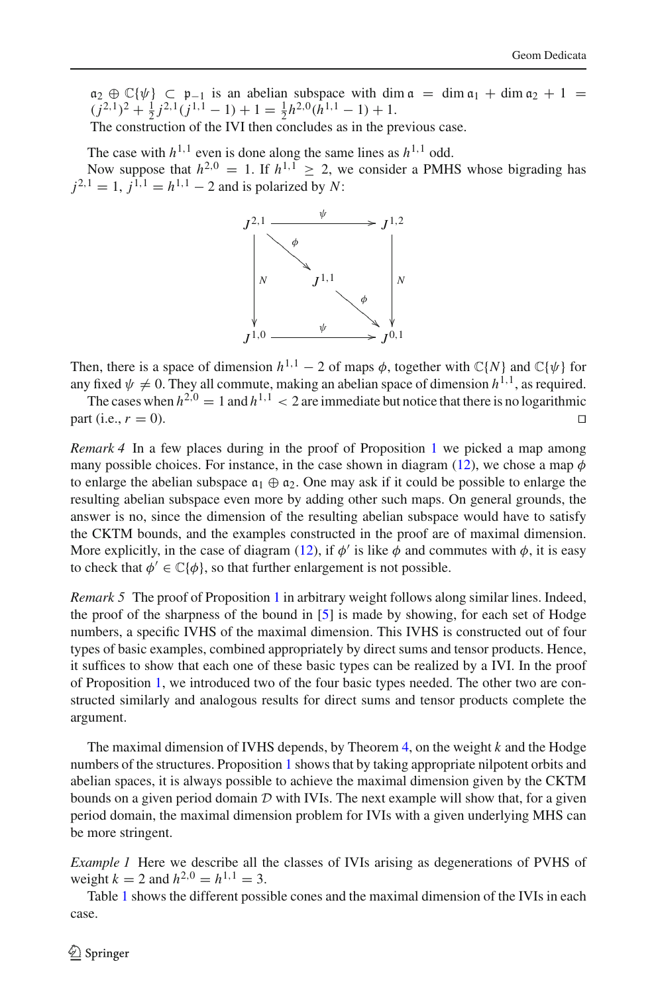$a_2 \oplus \mathbb{C} \{\psi\} \subset \mathfrak{p}_{-1}$  is an abelian subspace with dim  $\mathfrak{a} = \dim \mathfrak{a}_1 + \dim \mathfrak{a}_2 + 1 =$  $\frac{(j^{2,1})^2 + \frac{1}{2}j^{2,1}(j^{1,1} - 1) + 1}{(j^{2,1} - 1)(j^{1,1} - 1)}$ The construction of the IVI then concludes as in the previous case.

The case with  $h^{1,1}$  even is done along the same lines as  $h^{1,1}$  odd. Now suppose that  $h^{2,0} = 1$ . If  $h^{1,1} \ge 2$ , we consider a PMHS whose bigrading has  $j^{2,1} = 1$ ,  $j^{1,1} = h^{1,1} - 2$  and is polarized by *N*:



Then, there is a space of dimension  $h^{1,1} - 2$  of maps  $\phi$ , together with  $\mathbb{C}{N}$  and  $\mathbb{C}{\psi}$  for any fixed  $\psi \neq 0$ . They all commute, making an abelian space of dimension  $h^{1,1}$ , as required.

The cases when  $h^{2,0} = 1$  and  $h^{1,1} < 2$  are immediate but notice that there is no logarithmic rt (i.e.  $r = 0$ ) part (i.e.,  $r = 0$ ).

*Remark 4* In a few places during in the proof of Proposition [1](#page-6-3) we picked a map among many possible choices. For instance, in the case shown in diagram [\(12\)](#page-8-0), we chose a map  $\phi$ to enlarge the abelian subspace  $a_1 \oplus a_2$ . One may ask if it could be possible to enlarge the resulting abelian subspace even more by adding other such maps. On general grounds, the answer is no, since the dimension of the resulting abelian subspace would have to satisfy the CKTM bounds, and the examples constructed in the proof are of maximal dimension. More explicitly, in the case of diagram [\(12\)](#page-8-0), if  $\phi'$  is like  $\phi$  and commutes with  $\phi$ , it is easy to check that  $\phi' \in \mathbb{C}\{\phi\}$ , so that further enlargement is not possible.

<span id="page-9-0"></span>*Remark 5* The proof of Proposition [1](#page-6-3) in arbitrary weight follows along similar lines. Indeed, the proof of the sharpness of the bound in [\[5\]](#page-12-5) is made by showing, for each set of Hodge numbers, a specific IVHS of the maximal dimension. This IVHS is constructed out of four types of basic examples, combined appropriately by direct sums and tensor products. Hence, it suffices to show that each one of these basic types can be realized by a IVI. In the proof of Proposition [1,](#page-6-3) we introduced two of the four basic types needed. The other two are constructed similarly and analogous results for direct sums and tensor products complete the argument.

The maximal dimension of IVHS depends, by Theorem [4,](#page-6-2) on the weight *k* and the Hodge numbers of the structures. Proposition [1](#page-6-3) shows that by taking appropriate nilpotent orbits and abelian spaces, it is always possible to achieve the maximal dimension given by the CKTM bounds on a given period domain  $D$  with IVIs. The next example will show that, for a given period domain, the maximal dimension problem for IVIs with a given underlying MHS can be more stringent.

*Example 1* Here we describe all the classes of IVIs arising as degenerations of PVHS of weight  $k = 2$  and  $h^{2,0} = h^{1,1} = 3$ .

Table [1](#page-10-0) shows the different possible cones and the maximal dimension of the IVIs in each case.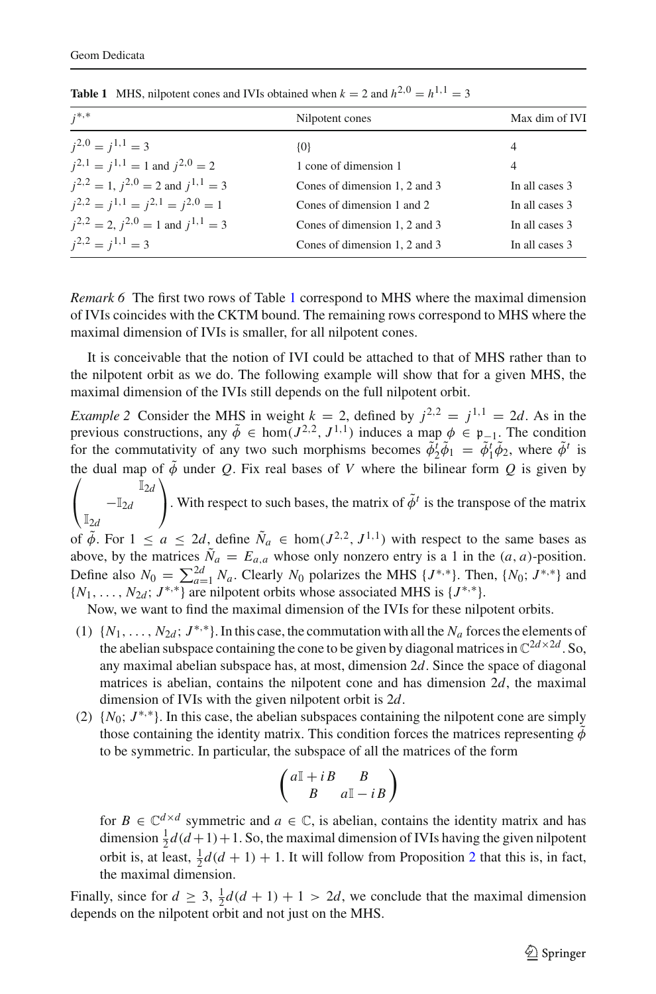<span id="page-10-0"></span>

| $i^{*,*}$                                       | Nilpotent cones               | Max dim of IVI |
|-------------------------------------------------|-------------------------------|----------------|
| $i^{2,0} = i^{1,1} = 3$                         | $\{0\}$                       | 4              |
| $i^{2,1} = i^{1,1} = 1$ and $i^{2,0} = 2$       | 1 cone of dimension 1         | 4              |
| $i^{2,2} = 1$ , $i^{2,0} = 2$ and $i^{1,1} = 3$ | Cones of dimension 1, 2 and 3 | In all cases 3 |
| $i^{2,2} = i^{1,1} = i^{2,1} = i^{2,0} = 1$     | Cones of dimension 1 and 2    | In all cases 3 |
| $i^{2,2} = 2$ , $i^{2,0} = 1$ and $i^{1,1} = 3$ | Cones of dimension 1, 2 and 3 | In all cases 3 |
| $i^{2,2} = i^{1,1} = 3$                         | Cones of dimension 1, 2 and 3 | In all cases 3 |

**Table 1** MHS, nilpotent cones and IVIs obtained when  $k = 2$  and  $h^{2,0} = h^{1,1} = 3$ 

*Remark 6* The first two rows of Table [1](#page-10-0) correspond to MHS where the maximal dimension of IVIs coincides with the CKTM bound. The remaining rows correspond to MHS where the maximal dimension of IVIs is smaller, for all nilpotent cones.

It is conceivable that the notion of IVI could be attached to that of MHS rather than to the nilpotent orbit as we do. The following example will show that for a given MHS, the maximal dimension of the IVIs still depends on the full nilpotent orbit.

*Example 2* Consider the MHS in weight  $k = 2$ , defined by  $i^{2,2} = i^{1,1} = 2d$ . As in the previous constructions, any  $\tilde{\phi} \in \text{hom}(J^{2,2}, J^{1,1})$  induces a map  $\phi \in \mathfrak{p}_{-1}$ . The condition for the commutativity of any two such morphisms becomes  $\tilde{\phi}_2^t \tilde{\phi}_1 = \tilde{\phi}_1^t \tilde{\phi}_2$ , where  $\tilde{\phi}^t$  is the dual map of  $\sqrt{2}$  $\phi$  under *Q*. Fix real bases of *V* where the bilinear form *Q* is given by  $\mathbf{I}$ I2*d* −I2*<sup>d</sup>*  $\mathbb{I}_{2d}$  $\sqrt{2}$ . With respect to such bases, the matrix of  $\tilde{\phi}^t$  is the transpose of the matrix of  $\tilde{\phi}$ . For  $1 \le a \le 2d$ , define  $\tilde{N}_a \in \text{hom}(J^{2,2}, J^{1,1})$  with respect to the same bases as above, by the matrices  $\tilde{N}_a = E_{a,a}$  whose only nonzero entry is a 1 in the  $(a, a)$ -position. Define also  $N_0 = \sum_{a=1}^{2d} N_a$ . Clearly  $N_0$  polarizes the MHS  $\{J^{*,*}\}\$ . Then,  $\{N_0; J^{*,*}\}\$  and  $\{N_1, \ldots, N_{2d}; J^{*,*}\}$  are nilpotent orbits whose associated MHS is  $\{J^{*,*}\}.$ 

Now, we want to find the maximal dimension of the IVIs for these nilpotent orbits.

- (1)  $\{N_1, \ldots, N_{2d}; J^{*,*}\}\)$ . In this case, the commutation with all the  $N_a$  forces the elements of the abelian subspace containing the cone to be given by diagonal matrices in  $\mathbb{C}^{2d \times 2d}$ . So, any maximal abelian subspace has, at most, dimension 2*d*. Since the space of diagonal matrices is abelian, contains the nilpotent cone and has dimension  $2d$ , the maximal dimension of IVIs with the given nilpotent orbit is 2*d*.
- (2)  $\{N_0; J^*, *\}$ . In this case, the abelian subspaces containing the nilpotent cone are simply those containing the identity matrix. This condition forces the matrices representing  $\ddot{\phi}$ to be symmetric. In particular, the subspace of all the matrices of the form

$$
\left(\begin{smallmatrix} a\mathbb{I} & +\,i\,B & B \\ B & a\mathbb{I} & -\,i\,B \end{smallmatrix}\right)
$$

for  $B \in \mathbb{C}^{d \times d}$  symmetric and  $a \in \mathbb{C}$ , is abelian, contains the identity matrix and has dimension  $\frac{1}{2}d(d+1)+1$ . So, the maximal dimension of IVIs having the given nilpotent orbit is, at least,  $\frac{1}{2}d(d+1) + 1$  $\frac{1}{2}d(d+1) + 1$  $\frac{1}{2}d(d+1) + 1$ . It will follow from Proposition 2 that this is, in fact, the maximal dimension.

Finally, since for  $d \geq 3$ ,  $\frac{1}{2}d(d+1) + 1 > 2d$ , we conclude that the maximal dimension depends on the nilpotent orbit and not just on the MHS.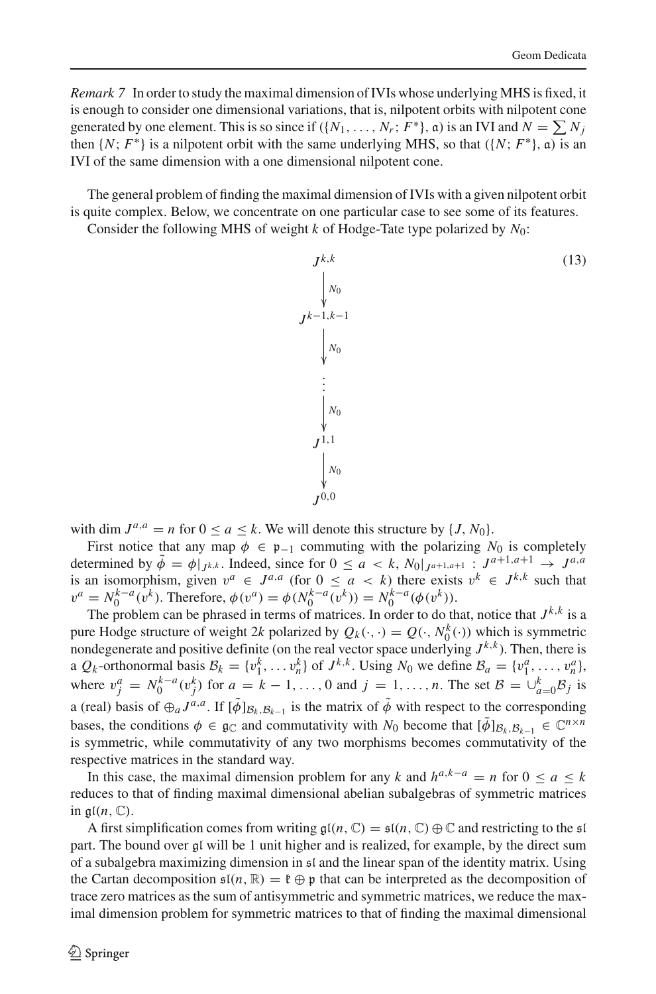*Remark 7* In order to study the maximal dimension of IVIs whose underlying MHS is fixed, it is enough to consider one dimensional variations, that is, nilpotent orbits with nilpotent cone generated by one element. This is so since if  $({N_1, \ldots, N_r; F^*}, \mathfrak{a})$  is an IVI and  $N = \sum_i N_i$ then  $\{N; F^*\}$  is a nilpotent orbit with the same underlying MHS, so that  $(\{N; F^*\}, \mathfrak{a})$  is an IVI of the same dimension with a one dimensional nilpotent cone.

The general problem of finding the maximal dimension of IVIs with a given nilpotent orbit is quite complex. Below, we concentrate on one particular case to see some of its features.

Consider the following MHS of weight *k* of Hodge-Tate type polarized by *N*0:

<span id="page-11-0"></span>

with dim  $J^{a,a} = n$  for  $0 \le a \le k$ . We will denote this structure by  $\{J, N_0\}$ .

First notice that any map  $\phi \in \mathfrak{p}_{-1}$  commuting with the polarizing  $N_0$  is completely determined by  $\tilde{\phi} = \phi|_{J^k,k}$ . Indeed, since for  $0 \le a \lt k$ ,  $N_0|_{J^{a+1,a+1}} : J^{a+1,a+1} \to J^{a,a}$ is an isomorphism, given  $v^a \in J^{a,a}$  (for  $0 \le a < k$ ) there exists  $v^k \in J^{k,k}$  such that  $v^a = N_0^{k-a}(\overline{v^k})$ . Therefore,  $\phi(v^a) = \phi(N_0^{k-a}(v^k)) = N_0^{k-a}(\phi(v^k))$ .

The problem can be phrased in terms of matrices. In order to do that, notice that  $J^{k,k}$  is a pure Hodge structure of weight 2*k* polarized by  $Q_k(\cdot, \cdot) = Q(\cdot, N_0^k(\cdot))$  which is symmetric nondegenerate and positive definite (on the real vector space underlying  $J^{k,k}$ ). Then, there is a  $Q_k$ -orthonormal basis  $B_k = \{v_1^k, \ldots, v_n^k\}$  of  $J^{k,k}$ . Using  $N_0$  we define  $B_a = \{v_1^a, \ldots, v_n^a\}$ , where  $v_j^a = N_0^{k-a}(v_j^k)$  for  $a = k-1, \ldots, 0$  and  $j = 1, \ldots, n$ . The set  $\mathcal{B} = \bigcup_{a=0}^k \mathcal{B}_j$  is a (real) basis of  $\oplus_a J^{a,a}$ . If  $[\tilde{\phi}]_{\mathcal{B}_k, \mathcal{B}_{k-1}}$  is the matrix of  $\tilde{\phi}$  with respect to the corresponding bases, the conditions  $\phi \in \mathfrak{g}_{\mathbb{C}}$  and commutativity with *N*<sub>0</sub> become that  $[\tilde{\phi}]_{\mathcal{B}_k, \mathcal{B}_{k-1}} \in \mathbb{C}^{n \times n}$ is symmetric, while commutativity of any two morphisms becomes commutativity of the respective matrices in the standard way.

In this case, the maximal dimension problem for any *k* and  $h^{a,k-a} = n$  for  $0 \le a \le k$ reduces to that of finding maximal dimensional abelian subalgebras of symmetric matrices in  $\mathfrak{gl}(n,\mathbb{C})$ .

A first simplification comes from writing  $g((n, \mathbb{C}) = s((n, \mathbb{C}) \oplus \mathbb{C})$  and restricting to the sl part. The bound over gl will be 1 unit higher and is realized, for example, by the direct sum of a subalgebra maximizing dimension in sl and the linear span of the identity matrix. Using the Cartan decomposition  $\mathfrak{s}(n,\mathbb{R}) = \mathfrak{k} \oplus \mathfrak{p}$  that can be interpreted as the decomposition of trace zero matrices as the sum of antisymmetric and symmetric matrices, we reduce the maximal dimension problem for symmetric matrices to that of finding the maximal dimensional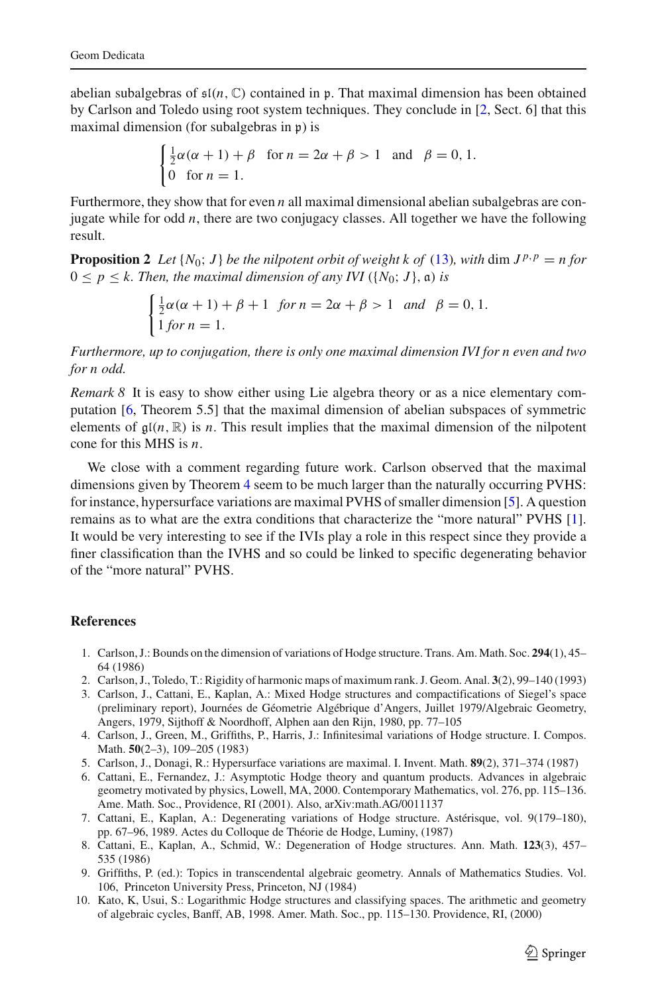abelian subalgebras of  $\mathfrak{sl}(n, \mathbb{C})$  contained in p. That maximal dimension has been obtained by Carlson and Toledo using root system techniques. They conclude in [\[2](#page-12-10), Sect. 6] that this maximal dimension (for subalgebras in p) is

$$
\begin{cases} \frac{1}{2}\alpha(\alpha+1)+\beta & \text{for } n=2\alpha+\beta>1 \text{ and } \beta=0,1.\\ 0 & \text{for } n=1. \end{cases}
$$

Furthermore, they show that for even *n* all maximal dimensional abelian subalgebras are conjugate while for odd *n*, there are two conjugacy classes. All together we have the following result.

<span id="page-12-9"></span>**Proposition 2** *Let*  $\{N_0; J\}$  *be the nilpotent orbit of weight k of* [\(13\)](#page-11-0)*, with* dim  $J^{p,p} = n$  *for*  $0 \leq p \leq k$ . Then, the maximal dimension of any IVI ({ $N_0$ ; J},  $\alpha$ ) *is* 

$$
\begin{cases} \frac{1}{2}\alpha(\alpha+1) + \beta + 1 & \text{for } n = 2\alpha + \beta > 1 \text{ and } \beta = 0, 1, \\ 1 & \text{for } n = 1. \end{cases}
$$

*Furthermore, up to conjugation, there is only one maximal dimension IVI for n even and two for n odd.*

*Remark 8* It is easy to show either using Lie algebra theory or as a nice elementary computation [\[6](#page-12-4), Theorem 5.5] that the maximal dimension of abelian subspaces of symmetric elements of  $g(n, \mathbb{R})$  is *n*. This result implies that the maximal dimension of the nilpotent cone for this MHS is *n*.

We close with a comment regarding future work. Carlson observed that the maximal dimensions given by Theorem [4](#page-6-2) seem to be much larger than the naturally occurring PVHS: for instance, hypersurface variations are maximal PVHS of smaller dimension [\[5](#page-12-5)]. A question remains as to what are the extra conditions that characterize the "more natural" PVHS [\[1\]](#page-12-8). It would be very interesting to see if the IVIs play a role in this respect since they provide a finer classification than the IVHS and so could be linked to specific degenerating behavior of the "more natural" PVHS.

### <span id="page-12-8"></span>**References**

- 1. Carlson, J.: Bounds on the dimension of variations of Hodge structure. Trans. Am. Math. Soc. **294**(1), 45– 64 (1986)
- <span id="page-12-10"></span>2. Carlson, J., Toledo, T.: Rigidity of harmonic maps of maximum rank. J. Geom. Anal. **3**(2), 99–140 (1993)
- <span id="page-12-2"></span>3. Carlson, J., Cattani, E., Kaplan, A.: Mixed Hodge structures and compactifications of Siegel's space (preliminary report), Journées de Géometrie Algébrique d'Angers, Juillet 1979/Algebraic Geometry, Angers, 1979, Sijthoff & Noordhoff, Alphen aan den Rijn, 1980, pp. 77–105
- <span id="page-12-0"></span>4. Carlson, J., Green, M., Griffiths, P., Harris, J.: Infinitesimal variations of Hodge structure. I. Compos. Math. **50**(2–3), 109–205 (1983)
- <span id="page-12-5"></span>5. Carlson, J., Donagi, R.: Hypersurface variations are maximal. I. Invent. Math. **89**(2), 371–374 (1987)
- <span id="page-12-4"></span>6. Cattani, E., Fernandez, J.: Asymptotic Hodge theory and quantum products. Advances in algebraic geometry motivated by physics, Lowell, MA, 2000. Contemporary Mathematics, vol. 276, pp. 115–136. Ame. Math. Soc., Providence, RI (2001). Also, arXiv:math.AG/0011137
- <span id="page-12-1"></span>7. Cattani, E., Kaplan, A.: Degenerating variations of Hodge structure. Astérisque, vol. 9(179–180), pp. 67–96, 1989. Actes du Colloque de Théorie de Hodge, Luminy, (1987)
- <span id="page-12-6"></span>8. Cattani, E., Kaplan, A., Schmid, W.: Degeneration of Hodge structures. Ann. Math. **123**(3), 457– 535 (1986)
- 9. Griffiths, P. (ed.): Topics in transcendental algebraic geometry. Annals of Mathematics Studies. Vol. 106, Princeton University Press, Princeton, NJ (1984)
- <span id="page-12-7"></span><span id="page-12-3"></span>10. Kato, K, Usui, S.: Logarithmic Hodge structures and classifying spaces. The arithmetic and geometry of algebraic cycles, Banff, AB, 1998. Amer. Math. Soc., pp. 115–130. Providence, RI, (2000)